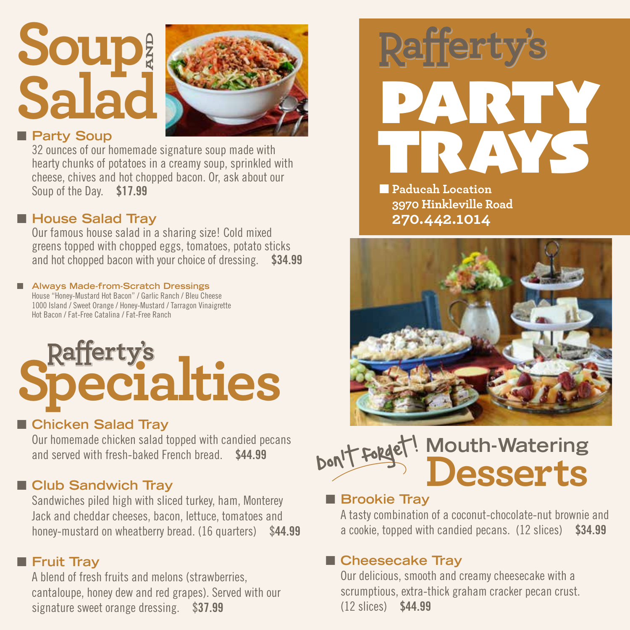## **Soup Salad AND**



#### **n** Party Soup

32 ounces of our homemade signature soup made with hearty chunks of potatoes in a creamy soup, sprinkled with cheese, chives and hot chopped bacon. Or, ask about our Soup of the Day. \$17.99

#### ■ House Salad Tray

Our famous house salad in a sharing size! Cold mixed greens topped with chopped eggs, tomatoes, potato sticks and hot chopped bacon with your choice of dressing. \$34.99

#### ■ Always Made-from-Scratch Dressings House "Honey-Mustard Hot Bacon" / Garlic Ranch / Bleu Cheese

1000 Island / Sweet Orange / Honey-Mustard / Tarragon Vinaigrette Hot Bacon / Fat-Free Catalina / Fat-Free Ranch

# **Rafferty's**<br>**Pecialties**

#### ■ Chicken Salad Tray

Our homemade chicken salad topped with candied pecans and served with fresh-baked French bread. \$44.99

#### **n** Club Sandwich Tray

Sandwiches piled high with sliced turkey, ham, Monterey Jack and cheddar cheeses, bacon, lettuce, tomatoes and honey-mustard on wheatberry bread. (16 quarters) \$44.99

#### **n** Fruit Tray

A blend of fresh fruits and melons (strawberries, cantaloupe, honey dew and red grapes). Served with our signature sweet orange dressing. \$37.99



n **Paducah Location 3970 Hinkleville Road 270.442.1014**



#### **Mouth-Watering Desserts** Don't forget!  $\overline{\phantom{a}}$

#### **n** Brookie Tray

A tasty combination of a coconut-chocolate-nut brownie and a cookie, topped with candied pecans. (12 slices) \$34.99

#### ■ Cheesecake Tray

Our delicious, smooth and creamy cheesecake with a scrumptious, extra-thick graham cracker pecan crust. (12 slices) \$44.99